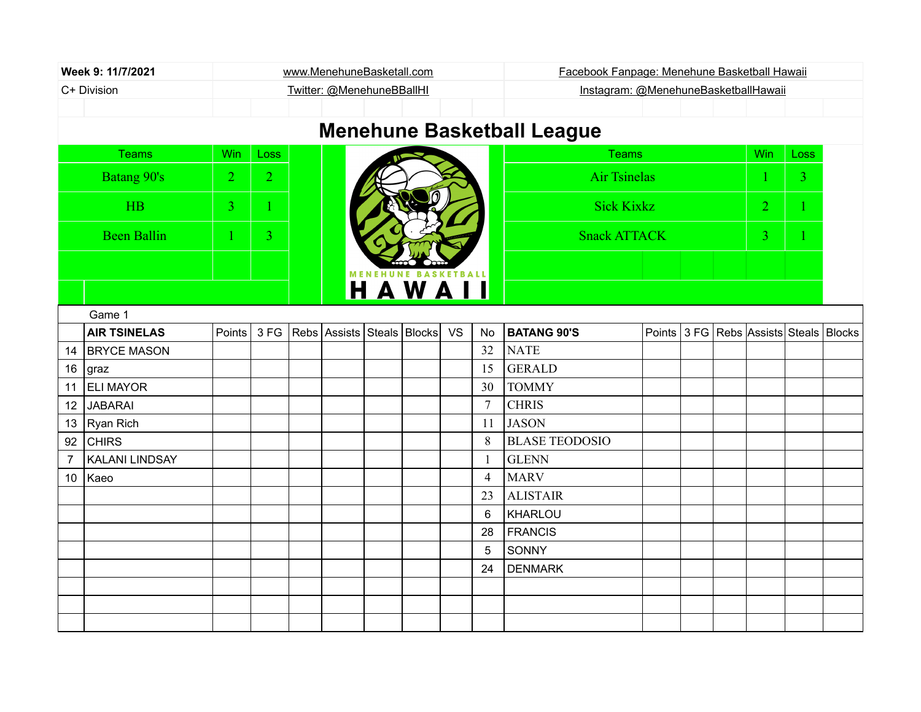| Week 9: 11/7/2021                                      |                                   |                           |                |  | www.MenehuneBasketall.com  |  |        |           |                | Facebook Fanpage: Menehune Basketball Hawaii |  |                |  |                                        |             |  |  |
|--------------------------------------------------------|-----------------------------------|---------------------------|----------------|--|----------------------------|--|--------|-----------|----------------|----------------------------------------------|--|----------------|--|----------------------------------------|-------------|--|--|
| C+ Division                                            |                                   | Twitter: @MenehuneBBallHI |                |  |                            |  |        |           |                | Instagram: @MenehuneBasketballHawaii         |  |                |  |                                        |             |  |  |
|                                                        |                                   |                           |                |  |                            |  |        |           |                |                                              |  |                |  |                                        |             |  |  |
|                                                        | <b>Menehune Basketball League</b> |                           |                |  |                            |  |        |           |                |                                              |  |                |  |                                        |             |  |  |
|                                                        | <b>Teams</b>                      | <b>Win</b>                | Loss           |  |                            |  |        |           |                | <b>Teams</b>                                 |  |                |  | Win                                    | <b>Loss</b> |  |  |
| <b>Batang 90's</b><br>$\overline{2}$<br>$\overline{2}$ |                                   |                           |                |  |                            |  |        |           |                | <b>Air Tsinelas</b>                          |  | $\overline{3}$ |  |                                        |             |  |  |
| <b>HB</b>                                              |                                   | 3                         |                |  |                            |  |        |           |                | <b>Sick Kixkz</b>                            |  |                |  |                                        |             |  |  |
| <b>Been Ballin</b>                                     |                                   |                           | $\overline{3}$ |  |                            |  |        |           |                | <b>Snack ATTACK</b>                          |  |                |  |                                        |             |  |  |
|                                                        | <b>MENEHUNE</b>                   |                           |                |  |                            |  |        |           |                |                                              |  |                |  |                                        |             |  |  |
|                                                        |                                   |                           |                |  |                            |  | HAWAII |           |                |                                              |  |                |  |                                        |             |  |  |
|                                                        | Game 1                            |                           |                |  |                            |  |        |           |                |                                              |  |                |  |                                        |             |  |  |
|                                                        | <b>AIR TSINELAS</b>               | Points                    | 3FG            |  | Rebs Assists Steals Blocks |  |        | <b>VS</b> | <b>No</b>      | <b>BATANG 90'S</b>                           |  |                |  | Points 3 FG Rebs Assists Steals Blocks |             |  |  |
| 14                                                     | <b>BRYCE MASON</b>                |                           |                |  |                            |  |        |           | 32             | <b>NATE</b>                                  |  |                |  |                                        |             |  |  |
| 16                                                     | graz                              |                           |                |  |                            |  |        |           | 15             | <b>GERALD</b>                                |  |                |  |                                        |             |  |  |
| 11                                                     | <b>ELI MAYOR</b>                  |                           |                |  |                            |  |        |           | 30             | <b>TOMMY</b>                                 |  |                |  |                                        |             |  |  |
| 12                                                     | <b>JABARAI</b>                    |                           |                |  |                            |  |        |           | $\tau$         | <b>CHRIS</b>                                 |  |                |  |                                        |             |  |  |
| 13                                                     | Ryan Rich                         |                           |                |  |                            |  |        |           | 11             | <b>JASON</b>                                 |  |                |  |                                        |             |  |  |
| 92                                                     | <b>CHIRS</b>                      |                           |                |  |                            |  |        |           | 8              | <b>BLASE TEODOSIO</b>                        |  |                |  |                                        |             |  |  |
| $\overline{7}$                                         | <b>KALANI LINDSAY</b>             |                           |                |  |                            |  |        |           | 1              | <b>GLENN</b>                                 |  |                |  |                                        |             |  |  |
| 10                                                     | Kaeo                              |                           |                |  |                            |  |        |           | $\overline{4}$ | <b>MARV</b>                                  |  |                |  |                                        |             |  |  |
|                                                        |                                   |                           |                |  |                            |  |        |           | 23             | <b>ALISTAIR</b>                              |  |                |  |                                        |             |  |  |
|                                                        |                                   |                           |                |  |                            |  |        |           | 6              | KHARLOU                                      |  |                |  |                                        |             |  |  |
|                                                        |                                   |                           |                |  |                            |  |        |           | 28             | <b>FRANCIS</b>                               |  |                |  |                                        |             |  |  |
|                                                        |                                   |                           |                |  |                            |  |        |           | 5              | SONNY                                        |  |                |  |                                        |             |  |  |
|                                                        |                                   |                           |                |  |                            |  |        |           | 24             | <b>DENMARK</b>                               |  |                |  |                                        |             |  |  |
|                                                        |                                   |                           |                |  |                            |  |        |           |                |                                              |  |                |  |                                        |             |  |  |
|                                                        |                                   |                           |                |  |                            |  |        |           |                |                                              |  |                |  |                                        |             |  |  |
|                                                        |                                   |                           |                |  |                            |  |        |           |                |                                              |  |                |  |                                        |             |  |  |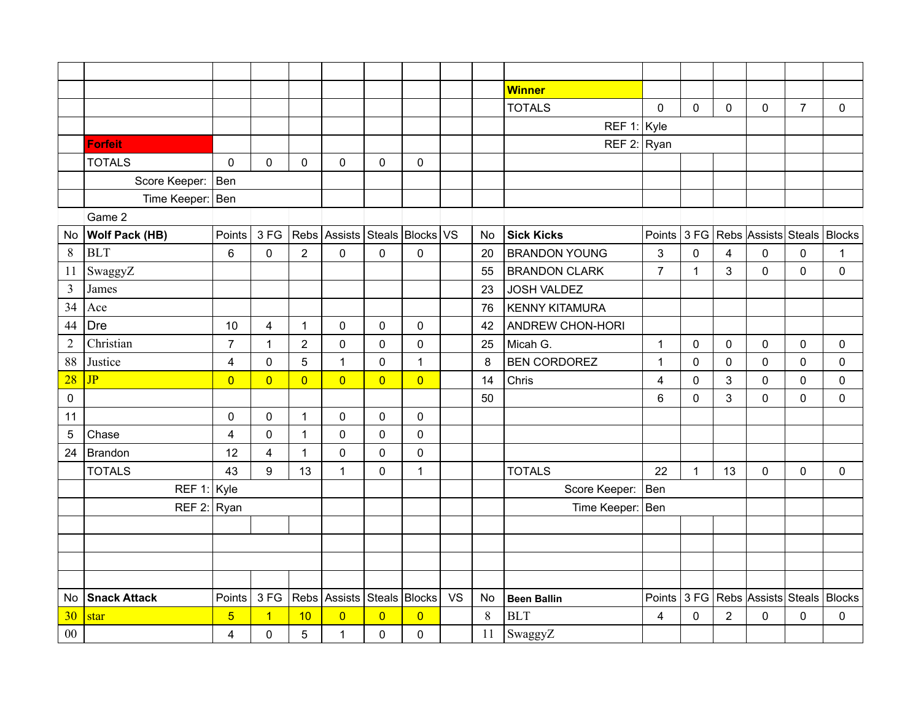|                |                       |                         |                         |                |                               |                |                |           |    | <b>Winner</b>           |                         |              |                  |                                        |                |              |
|----------------|-----------------------|-------------------------|-------------------------|----------------|-------------------------------|----------------|----------------|-----------|----|-------------------------|-------------------------|--------------|------------------|----------------------------------------|----------------|--------------|
|                |                       |                         |                         |                |                               |                |                |           |    | <b>TOTALS</b>           | 0                       | $\mathbf 0$  | $\mathbf 0$      | $\mathbf 0$                            | $\overline{7}$ | $\mathbf{0}$ |
|                |                       |                         |                         |                |                               |                |                |           |    | REF 1: $Kyle$           |                         |              |                  |                                        |                |              |
|                | <b>Forfeit</b>        |                         |                         |                |                               |                |                |           |    | REF 2: Ryan             |                         |              |                  |                                        |                |              |
|                | <b>TOTALS</b>         | $\mathbf 0$             | $\mathbf 0$             | $\mathbf 0$    | $\mathbf 0$                   | $\mathbf 0$    | $\pmb{0}$      |           |    |                         |                         |              |                  |                                        |                |              |
|                | Score Keeper:   Ben   |                         |                         |                |                               |                |                |           |    |                         |                         |              |                  |                                        |                |              |
|                | Time Keeper:   Ben    |                         |                         |                |                               |                |                |           |    |                         |                         |              |                  |                                        |                |              |
|                | Game 2                |                         |                         |                |                               |                |                |           |    |                         |                         |              |                  |                                        |                |              |
| No.            | <b>Wolf Pack (HB)</b> | Points                  | 3 FG                    |                | Rebs Assists Steals Blocks VS |                |                |           | No | <b>Sick Kicks</b>       |                         |              |                  | Points 3 FG Rebs Assists Steals Blocks |                |              |
| 8              | <b>BLT</b>            | 6                       | $\pmb{0}$               | $\overline{2}$ | $\mathbf 0$                   | $\mathbf 0$    | $\mathbf 0$    |           | 20 | <b>BRANDON YOUNG</b>    | 3                       | $\pmb{0}$    | $\overline{4}$   | $\mathbf 0$                            | $\mathbf 0$    | $\mathbf{1}$ |
| 11             | SwaggyZ               |                         |                         |                |                               |                |                |           | 55 | <b>BRANDON CLARK</b>    | $\overline{7}$          | $\mathbf{1}$ | 3                | $\mathbf 0$                            | $\mathbf 0$    | $\mathbf 0$  |
| $\overline{3}$ | James                 |                         |                         |                |                               |                |                |           | 23 | <b>JOSH VALDEZ</b>      |                         |              |                  |                                        |                |              |
| 34             | Ace                   |                         |                         |                |                               |                |                |           | 76 | <b>KENNY KITAMURA</b>   |                         |              |                  |                                        |                |              |
| 44             | <b>Dre</b>            | 10                      | $\overline{4}$          | $\mathbf{1}$   | $\mathsf 0$                   | $\pmb{0}$      | $\pmb{0}$      |           | 42 | <b>ANDREW CHON-HORI</b> |                         |              |                  |                                        |                |              |
| $\sqrt{2}$     | Christian             | $\overline{7}$          | 1                       | $\overline{2}$ | 0                             | $\pmb{0}$      | $\mathbf 0$    |           | 25 | Micah G.                | 1                       | 0            | 0                | 0                                      | $\pmb{0}$      | 0            |
| 88             | Justice               | $\overline{4}$          | $\pmb{0}$               | 5              | $\mathbf{1}$                  | $\pmb{0}$      | $\mathbf 1$    |           | 8  | <b>BEN CORDOREZ</b>     | 1                       | $\mathbf 0$  | $\mathbf 0$      | $\mathbf 0$                            | $\pmb{0}$      | $\mathbf 0$  |
| 28             | JP                    | $\overline{0}$          | $\overline{0}$          | $\overline{0}$ | $\overline{0}$                | $\overline{0}$ | $\overline{0}$ |           | 14 | Chris                   | $\overline{\mathbf{4}}$ | $\mathbf 0$  | 3                | $\mathbf 0$                            | $\pmb{0}$      | 0            |
| $\mathsf 0$    |                       |                         |                         |                |                               |                |                |           | 50 |                         | 6                       | $\mathbf 0$  | $\mathbf{3}$     | $\mathbf{0}$                           | $\mathbf 0$    | $\mathbf 0$  |
| 11             |                       | 0                       | $\pmb{0}$               | $\mathbf{1}$   | $\pmb{0}$                     | $\pmb{0}$      | $\pmb{0}$      |           |    |                         |                         |              |                  |                                        |                |              |
| 5              | Chase                 | $\overline{\mathbf{4}}$ | $\pmb{0}$               | $\mathbf{1}$   | $\mathbf 0$                   | $\mathbf 0$    | $\mathbf 0$    |           |    |                         |                         |              |                  |                                        |                |              |
| 24             | <b>Brandon</b>        | 12                      | 4                       | $\mathbf{1}$   | $\mathbf 0$                   | $\mathbf 0$    | $\mathbf 0$    |           |    |                         |                         |              |                  |                                        |                |              |
|                | <b>TOTALS</b>         | 43                      | 9                       | 13             | $\mathbf{1}$                  | $\pmb{0}$      | 1              |           |    | <b>TOTALS</b>           | 22                      | $\mathbf{1}$ | 13               | $\mathbf 0$                            | $\mathbf 0$    | $\mathbf 0$  |
|                | REF 1: $Kyle$         |                         |                         |                |                               |                |                |           |    | Score Keeper:           | Ben                     |              |                  |                                        |                |              |
|                | REF $2:$ Ryan         |                         |                         |                |                               |                |                |           |    | Time Keeper:   Ben      |                         |              |                  |                                        |                |              |
|                |                       |                         |                         |                |                               |                |                |           |    |                         |                         |              |                  |                                        |                |              |
|                |                       |                         |                         |                |                               |                |                |           |    |                         |                         |              |                  |                                        |                |              |
|                |                       |                         |                         |                |                               |                |                |           |    |                         |                         |              |                  |                                        |                |              |
|                |                       |                         |                         |                |                               |                |                |           |    |                         |                         |              |                  |                                        |                |              |
| No.            | <b>Snack Attack</b>   | Points                  | 3FG                     |                | Rebs Assists Steals Blocks    |                |                | <b>VS</b> | No | <b>Been Ballin</b>      |                         |              |                  | Points 3 FG Rebs Assists Steals        |                | Blocks       |
| 30             | star                  | $\overline{5}$          | $\overline{\mathbf{1}}$ | 10             | $\overline{0}$                | $\overline{0}$ | $\overline{0}$ |           | 8  | <b>BLT</b>              | 4                       | 0            | $\boldsymbol{2}$ | 0                                      | 0              | 0            |
| $00\,$         |                       | 4                       | $\pmb{0}$               | 5              | $\mathbf{1}$                  | $\mathsf 0$    | $\pmb{0}$      |           | 11 | SwaggyZ                 |                         |              |                  |                                        |                |              |